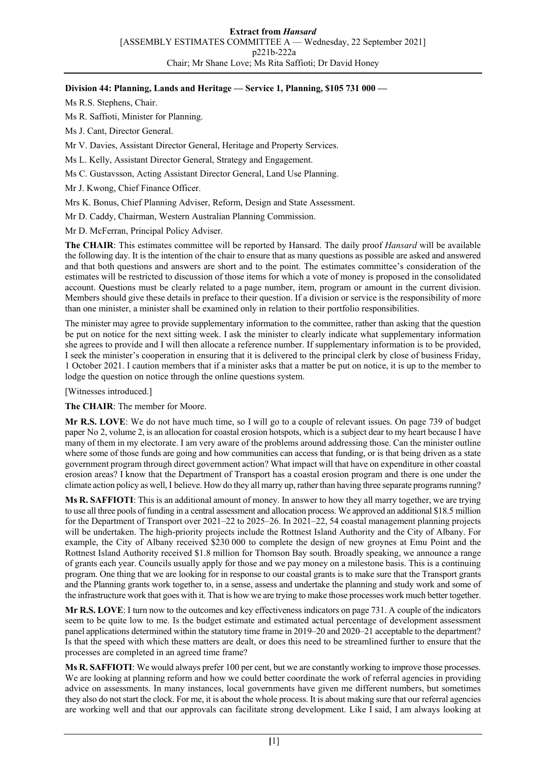## **Division 44: Planning, Lands and Heritage — Service 1, Planning, \$105 731 000 —**

Ms R.S. Stephens, Chair.

Ms R. Saffioti, Minister for Planning.

Ms J. Cant, Director General.

Mr V. Davies, Assistant Director General, Heritage and Property Services.

Ms L. Kelly, Assistant Director General, Strategy and Engagement.

Ms C. Gustavsson, Acting Assistant Director General, Land Use Planning.

Mr J. Kwong, Chief Finance Officer.

Mrs K. Bonus, Chief Planning Adviser, Reform, Design and State Assessment.

Mr D. Caddy, Chairman, Western Australian Planning Commission.

Mr D. McFerran, Principal Policy Adviser.

**The CHAIR**: This estimates committee will be reported by Hansard. The daily proof *Hansard* will be available the following day. It is the intention of the chair to ensure that as many questions as possible are asked and answered and that both questions and answers are short and to the point. The estimates committee's consideration of the estimates will be restricted to discussion of those items for which a vote of money is proposed in the consolidated account. Questions must be clearly related to a page number, item, program or amount in the current division. Members should give these details in preface to their question. If a division or service is the responsibility of more than one minister, a minister shall be examined only in relation to their portfolio responsibilities.

The minister may agree to provide supplementary information to the committee, rather than asking that the question be put on notice for the next sitting week. I ask the minister to clearly indicate what supplementary information she agrees to provide and I will then allocate a reference number. If supplementary information is to be provided, I seek the minister's cooperation in ensuring that it is delivered to the principal clerk by close of business Friday, 1 October 2021. I caution members that if a minister asks that a matter be put on notice, it is up to the member to lodge the question on notice through the online questions system.

[Witnesses introduced.]

**The CHAIR**: The member for Moore.

**Mr R.S. LOVE**: We do not have much time, so I will go to a couple of relevant issues. On page 739 of budget paper No 2, volume 2, is an allocation for coastal erosion hotspots, which is a subject dear to my heart because I have many of them in my electorate. I am very aware of the problems around addressing those. Can the minister outline where some of those funds are going and how communities can access that funding, or is that being driven as a state government program through direct government action? What impact will that have on expenditure in other coastal erosion areas? I know that the Department of Transport has a coastal erosion program and there is one under the climate action policy as well, I believe. How do they all marry up, rather than having three separate programs running?

**Ms R. SAFFIOTI**: This is an additional amount of money. In answer to how they all marry together, we are trying to use all three pools of funding in a central assessment and allocation process. We approved an additional \$18.5 million for the Department of Transport over 2021–22 to 2025–26. In 2021–22, 54 coastal management planning projects will be undertaken. The high-priority projects include the Rottnest Island Authority and the City of Albany. For example, the City of Albany received \$230 000 to complete the design of new groynes at Emu Point and the Rottnest Island Authority received \$1.8 million for Thomson Bay south. Broadly speaking, we announce a range of grants each year. Councils usually apply for those and we pay money on a milestone basis. This is a continuing program. One thing that we are looking for in response to our coastal grants is to make sure that the Transport grants and the Planning grants work together to, in a sense, assess and undertake the planning and study work and some of the infrastructure work that goes with it. That is how we are trying to make those processes work much better together.

**Mr R.S. LOVE**: I turn now to the outcomes and key effectiveness indicators on page 731. A couple of the indicators seem to be quite low to me. Is the budget estimate and estimated actual percentage of development assessment panel applications determined within the statutory time frame in 2019–20 and 2020–21 acceptable to the department? Is that the speed with which these matters are dealt, or does this need to be streamlined further to ensure that the processes are completed in an agreed time frame?

**Ms R. SAFFIOTI**: We would always prefer 100 per cent, but we are constantly working to improve those processes. We are looking at planning reform and how we could better coordinate the work of referral agencies in providing advice on assessments. In many instances, local governments have given me different numbers, but sometimes they also do not start the clock. For me, it is about the whole process. It is about making sure that our referral agencies are working well and that our approvals can facilitate strong development. Like I said, I am always looking at